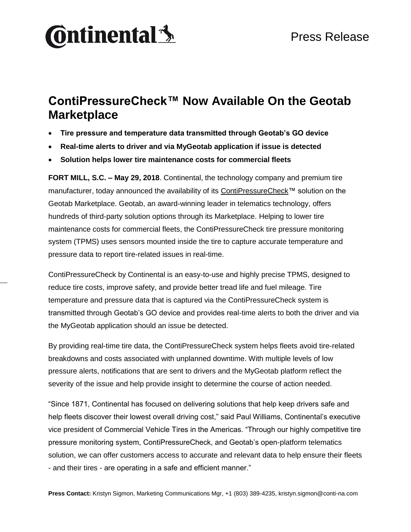# **Ontinental** \$

### **ContiPressureCheck™ Now Available On the Geotab Marketplace**

- **Tire pressure and temperature data transmitted through Geotab's GO device**
- **Real-time alerts to driver and via MyGeotab application if issue is detected**
- **Solution helps lower tire maintenance costs for commercial fleets**

**FORT MILL, S.C. – May 29, 2018**. Continental, the technology company and premium tire manufacturer, today announced the availability of its [ContiPressureCheck™](https://www.continental-truck.com/truck/products/overview-product-lines/contipressurecheck) solution on the Geotab Marketplace. Geotab, an award-winning leader in telematics technology, offers hundreds of third-party solution options through its Marketplace. Helping to lower tire maintenance costs for commercial fleets, the ContiPressureCheck tire pressure monitoring system (TPMS) uses sensors mounted inside the tire to capture accurate temperature and pressure data to report tire-related issues in real-time.

ContiPressureCheck by Continental is an easy-to-use and highly precise TPMS, designed to reduce tire costs, improve safety, and provide better tread life and fuel mileage. Tire temperature and pressure data that is captured via the ContiPressureCheck system is transmitted through Geotab's GO device and provides real-time alerts to both the driver and via the MyGeotab application should an issue be detected.

By providing real-time tire data, the ContiPressureCheck system helps fleets avoid tire-related breakdowns and costs associated with unplanned downtime. With multiple levels of low pressure alerts, notifications that are sent to drivers and the MyGeotab platform reflect the severity of the issue and help provide insight to determine the course of action needed.

"Since 1871, Continental has focused on delivering solutions that help keep drivers safe and help fleets discover their lowest overall driving cost," said Paul Williams, Continental's executive vice president of Commercial Vehicle Tires in the Americas. "Through our highly competitive tire pressure monitoring system, ContiPressureCheck, and Geotab's open-platform telematics solution, we can offer customers access to accurate and relevant data to help ensure their fleets - and their tires - are operating in a safe and efficient manner."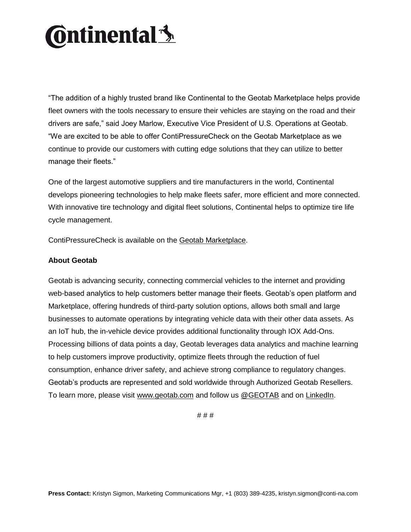# **Ontinental** \$

"The addition of a highly trusted brand like Continental to the Geotab Marketplace helps provide fleet owners with the tools necessary to ensure their vehicles are staying on the road and their drivers are safe," said Joey Marlow, Executive Vice President of U.S. Operations at Geotab. "We are excited to be able to offer ContiPressureCheck on the Geotab Marketplace as we continue to provide our customers with cutting edge solutions that they can utilize to better manage their fleets."

One of the largest automotive suppliers and tire manufacturers in the world, Continental develops pioneering technologies to help make fleets safer, more efficient and more connected. With innovative tire technology and digital fleet solutions, Continental helps to optimize tire life cycle management.

ContiPressureCheck is available on the [Geotab Marketplace.](https://marketplace.geotab.com/solutions/continental-tire-contipressurecheck)

### **About Geotab**

Geotab is advancing security, connecting commercial vehicles to the internet and providing web-based analytics to help customers better manage their fleets. Geotab's open platform and Marketplace, offering hundreds of third-party solution options, allows both small and large businesses to automate operations by integrating vehicle data with their other data assets. As an IoT hub, the in-vehicle device provides additional functionality through IOX Add-Ons. Processing billions of data points a day, Geotab leverages data analytics and machine learning to help customers improve productivity, optimize fleets through the reduction of fuel consumption, enhance driver safety, and achieve strong compliance to regulatory changes. Geotab's products are represented and sold worldwide through Authorized Geotab Resellers. To learn more, please visit [www.geotab.com](http://www.geotab.com/) and follow us [@GEOTAB](https://twitter.com/GEOTAB) and on [LinkedIn.](https://www.linkedin.com/company/geotab/)

# # #